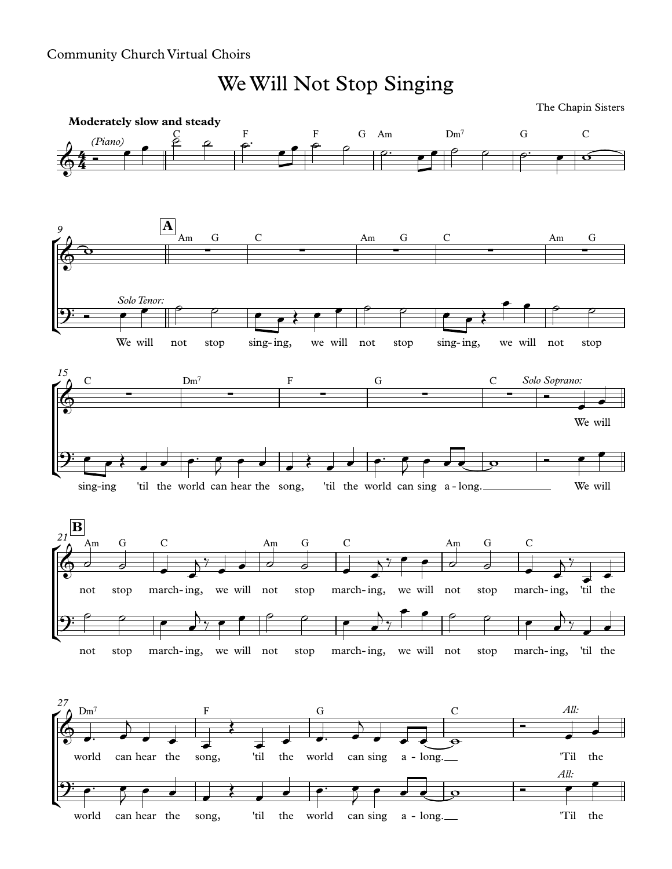## Community Church Virtual Choirs

We Will Not Stop Singing

The Chapin Sisters

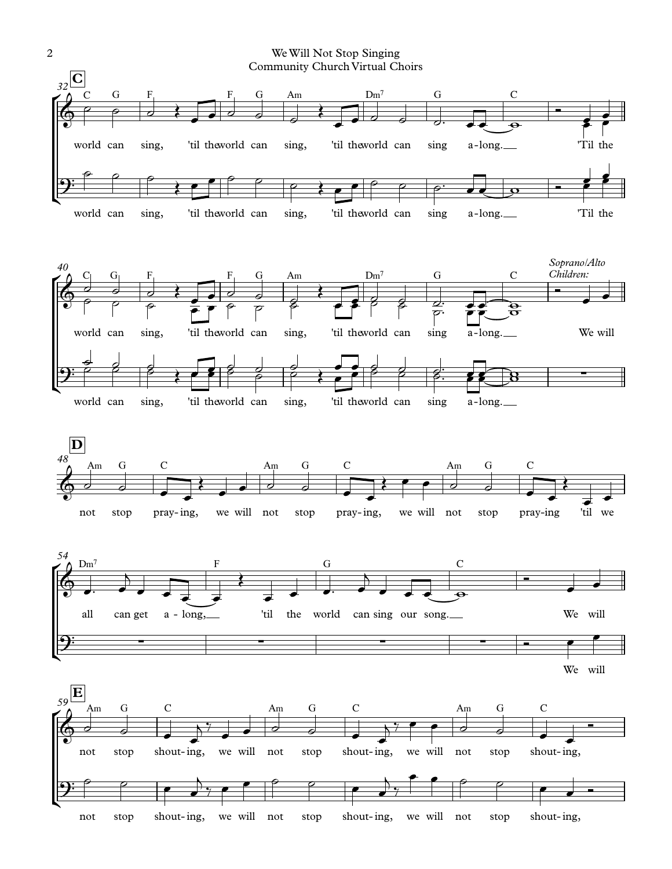